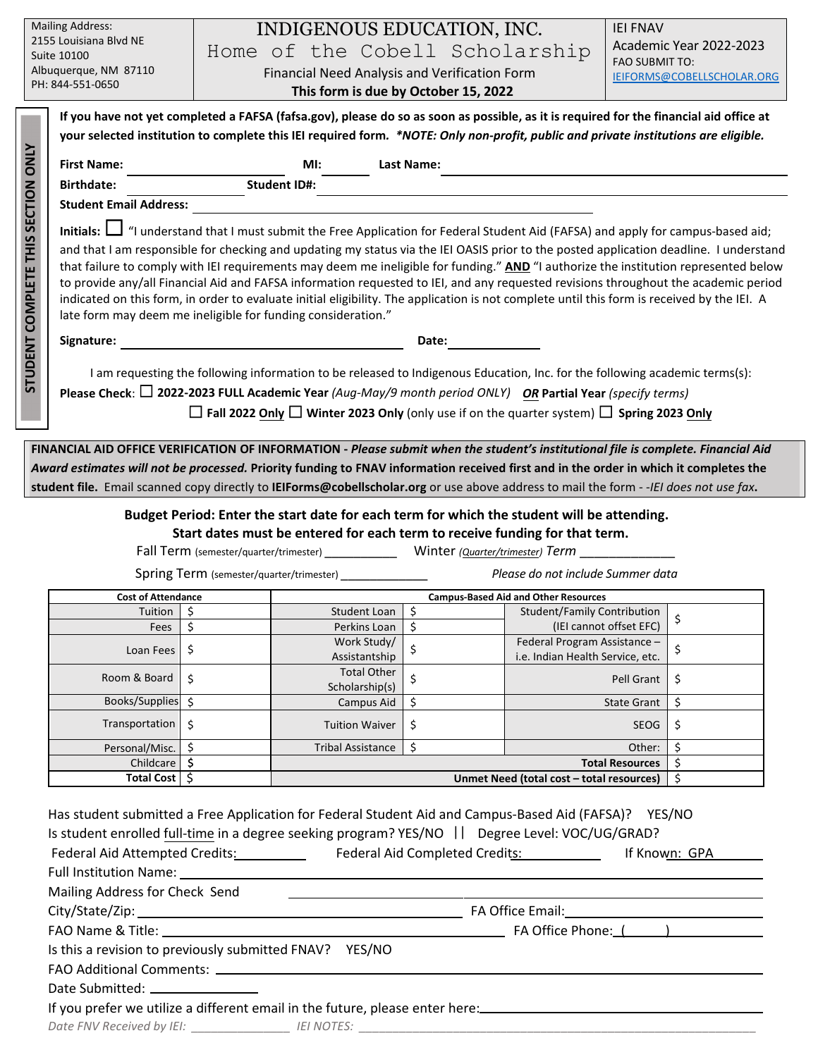| <b>Mailing Address:</b><br>2155 Louisiana Blvd NE                                                                                     |                                                                                                                                                                                                             |       |                                      | INDIGENOUS EDUCATION, INC.                                                                                                        |  | <b>IEI FNAV</b><br>Academic Year 2022-2023 |  |  |  |
|---------------------------------------------------------------------------------------------------------------------------------------|-------------------------------------------------------------------------------------------------------------------------------------------------------------------------------------------------------------|-------|--------------------------------------|-----------------------------------------------------------------------------------------------------------------------------------|--|--------------------------------------------|--|--|--|
| Suite 10100                                                                                                                           |                                                                                                                                                                                                             |       |                                      | Home of the Cobell Scholarship                                                                                                    |  | <b>FAO SUBMIT TO:</b>                      |  |  |  |
| Albuquerque, NM 87110<br>PH: 844-551-0650                                                                                             |                                                                                                                                                                                                             |       |                                      | Financial Need Analysis and Verification Form                                                                                     |  | IEIFORMS@COBELLSCHOLAR.ORG                 |  |  |  |
|                                                                                                                                       |                                                                                                                                                                                                             |       | This form is due by October 15, 2022 |                                                                                                                                   |  |                                            |  |  |  |
|                                                                                                                                       | If you have not yet completed a FAFSA (fafsa.gov), please do so as soon as possible, as it is required for the financial aid office at                                                                      |       |                                      |                                                                                                                                   |  |                                            |  |  |  |
|                                                                                                                                       | your selected institution to complete this IEI required form. *NOTE: Only non-profit, public and private institutions are eligible.                                                                         |       |                                      |                                                                                                                                   |  |                                            |  |  |  |
| <b>STUDENT COMPLETE THIS SECTION ONLY</b>                                                                                             | <b>First Name:</b>                                                                                                                                                                                          |       | MI:                                  | <b>Last Name:</b>                                                                                                                 |  |                                            |  |  |  |
|                                                                                                                                       | <b>Birthdate:</b>                                                                                                                                                                                           |       | <b>Student ID#:</b>                  |                                                                                                                                   |  |                                            |  |  |  |
|                                                                                                                                       | <b>Student Email Address:</b>                                                                                                                                                                               |       |                                      |                                                                                                                                   |  |                                            |  |  |  |
|                                                                                                                                       | Initials: $\Box$ "I understand that I must submit the Free Application for Federal Student Aid (FAFSA) and apply for campus-based aid;                                                                      |       |                                      |                                                                                                                                   |  |                                            |  |  |  |
|                                                                                                                                       | and that I am responsible for checking and updating my status via the IEI OASIS prior to the posted application deadline. I understand                                                                      |       |                                      |                                                                                                                                   |  |                                            |  |  |  |
|                                                                                                                                       | that failure to comply with IEI requirements may deem me ineligible for funding." AND "I authorize the institution represented below                                                                        |       |                                      |                                                                                                                                   |  |                                            |  |  |  |
|                                                                                                                                       | to provide any/all Financial Aid and FAFSA information requested to IEI, and any requested revisions throughout the academic period                                                                         |       |                                      |                                                                                                                                   |  |                                            |  |  |  |
|                                                                                                                                       | indicated on this form, in order to evaluate initial eligibility. The application is not complete until this form is received by the IEI. A<br>late form may deem me ineligible for funding consideration." |       |                                      |                                                                                                                                   |  |                                            |  |  |  |
|                                                                                                                                       |                                                                                                                                                                                                             |       |                                      |                                                                                                                                   |  |                                            |  |  |  |
|                                                                                                                                       | Signature:                                                                                                                                                                                                  | Date: |                                      |                                                                                                                                   |  |                                            |  |  |  |
|                                                                                                                                       | I am requesting the following information to be released to Indigenous Education, Inc. for the following academic terms(s):                                                                                 |       |                                      |                                                                                                                                   |  |                                            |  |  |  |
|                                                                                                                                       | Please Check: $\square$ 2022-2023 FULL Academic Year (Aug-May/9 month period ONLY) OR Partial Year (specify terms)                                                                                          |       |                                      |                                                                                                                                   |  |                                            |  |  |  |
|                                                                                                                                       |                                                                                                                                                                                                             |       |                                      | $\Box$ Fall 2022 Only $\Box$ Winter 2023 Only (only use if on the quarter system) $\Box$ Spring 2023 Only                         |  |                                            |  |  |  |
|                                                                                                                                       |                                                                                                                                                                                                             |       |                                      |                                                                                                                                   |  |                                            |  |  |  |
|                                                                                                                                       |                                                                                                                                                                                                             |       |                                      | FINANCIAL AID OFFICE VERIFICATION OF INFORMATION - Please submit when the student's institutional file is complete. Financial Aid |  |                                            |  |  |  |
| Award estimates will not be processed. Priority funding to FNAV information received first and in the order in which it completes the |                                                                                                                                                                                                             |       |                                      |                                                                                                                                   |  |                                            |  |  |  |
| student file. Email scanned copy directly to IEIForms@cobellscholar.org or use above address to mail the form --IEI does not use fax. |                                                                                                                                                                                                             |       |                                      |                                                                                                                                   |  |                                            |  |  |  |
| Budget Period: Enter the start date for each term for which the student will be attending.                                            |                                                                                                                                                                                                             |       |                                      |                                                                                                                                   |  |                                            |  |  |  |
| Start dates must be entered for each term to receive funding for that term.                                                           |                                                                                                                                                                                                             |       |                                      |                                                                                                                                   |  |                                            |  |  |  |
| Winter (Quarter/trimester) Term<br>Fall Term (semester/quarter/trimester) __________                                                  |                                                                                                                                                                                                             |       |                                      |                                                                                                                                   |  |                                            |  |  |  |
| Please do not include Summer data<br><b>Spring Term</b> (semester/quarter/trimester)                                                  |                                                                                                                                                                                                             |       |                                      |                                                                                                                                   |  |                                            |  |  |  |
|                                                                                                                                       | <b>Cost of Attendance</b>                                                                                                                                                                                   |       |                                      | <b>Campus-Based Aid and Other Resources</b>                                                                                       |  |                                            |  |  |  |

| Cost of Attendance |    | Campus-Based Aid and Other Resources      |          |                                  |    |
|--------------------|----|-------------------------------------------|----------|----------------------------------|----|
| Tuition            |    | Student Loan                              |          | Student/Family Contribution      |    |
| Fees               |    | Perkins Loan                              | \$       | (IEI cannot offset EFC)          | \$ |
| Loan Fees          | Ş  | Work Study/                               |          | Federal Program Assistance -     |    |
|                    |    | Assistantship                             |          | i.e. Indian Health Service, etc. |    |
| Room & Board       | \$ | <b>Total Other</b>                        | \$       | Pell Grant                       | \$ |
|                    |    | Scholarship(s)                            |          |                                  |    |
| Books/Supplies     |    | Campus Aid                                |          | <b>State Grant</b>               | Ş  |
| Transportation     | \$ | <b>Tuition Waiver</b>                     | \$<br>\$ | <b>SEOG</b>                      | \$ |
|                    |    |                                           |          |                                  |    |
| Personal/Misc.     |    | <b>Tribal Assistance</b>                  |          | Other:                           |    |
| Childcare          |    | <b>Total Resources</b>                    |          |                                  |    |
| Total Cost         |    | Unmet Need (total cost - total resources) |          |                                  |    |

| Has student submitted a Free Application for Federal Student Aid and Campus-Based Aid (FAFSA)? YES/NO                                                        |  |  |  |  |  |  |  |
|--------------------------------------------------------------------------------------------------------------------------------------------------------------|--|--|--|--|--|--|--|
| Is student enrolled full-time in a degree seeking program? YES/NO    Degree Level: VOC/UG/GRAD?                                                              |  |  |  |  |  |  |  |
| Federal Aid Attempted Credits: _______________ Federal Aid Completed Credits: ______________ If Known: GPA                                                   |  |  |  |  |  |  |  |
|                                                                                                                                                              |  |  |  |  |  |  |  |
| Mailing Address for Check Send                                                                                                                               |  |  |  |  |  |  |  |
|                                                                                                                                                              |  |  |  |  |  |  |  |
|                                                                                                                                                              |  |  |  |  |  |  |  |
| Is this a revision to previously submitted FNAV? YES/NO                                                                                                      |  |  |  |  |  |  |  |
|                                                                                                                                                              |  |  |  |  |  |  |  |
| Date Submitted: ________________                                                                                                                             |  |  |  |  |  |  |  |
| If you prefer we utilize a different email in the future, please enter here:<br>If you prefer we utilize a different email in the future, please enter here: |  |  |  |  |  |  |  |
| Date FNV Received by IEI: ____________________ IEI NOTES: ______________________                                                                             |  |  |  |  |  |  |  |